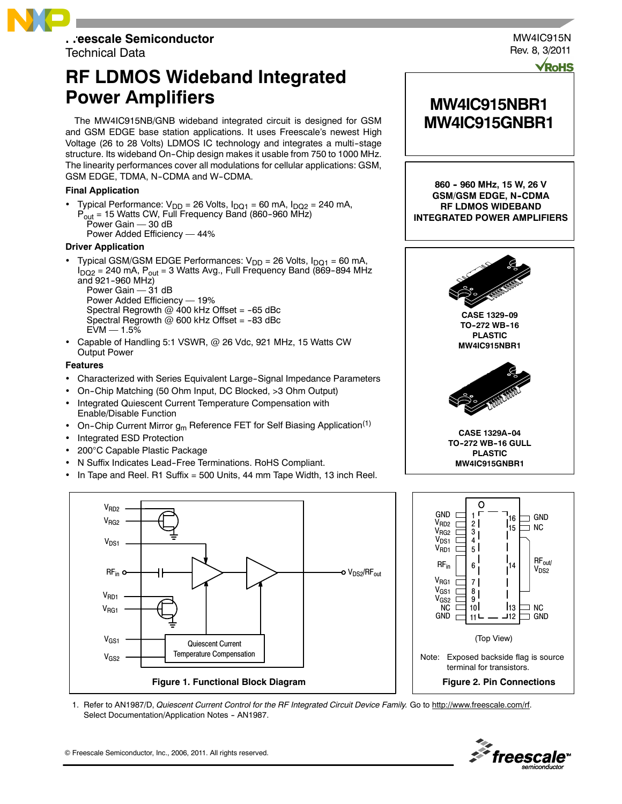

Technical Data

# **RF LDMOS Wideband Integrated Power Amplifiers**

The MW4IC915NB/GNB wideband integrated circuit is designed for GSM and GSM EDGE base station applications. It uses Freescale's newest High Voltage (26 to 28 Volts) LDMOS IC technology and integrates a multi-stage structure. Its wideband On-Chip design makes it usable from 750 to 1000 MHz. The linearity performances cover all modulations for cellular applications: GSM, GSM EDGE, TDMA, N-CDMA and W-CDMA.

### **Final Application**

- Typical Performance:  $V_{DD}$  = 26 Volts,  $I_{DQ1}$  = 60 mA,  $I_{DQ2}$  = 240 mA,  $P_{\text{out}}$  = 15 Watts CW, Full Frequency Band (860-960 MHz) Power Gain  $-$  30 dB
	- Power Added Efficiency 44%

#### **Driver Application**

- Typical GSM/GSM EDGE Performances:  $V_{DD} = 26$  Volts,  $I_{DQ1} = 60$  mA,  $I_{DQ2}$  = 240 mA,  $P_{out}$  = 3 Watts Avg., Full Frequency Band (869-894 MHz and  $921 - 960$  MHz) Power Gain  $-$  31 dB Power Added Efficiency - 19% Spectral Regrowth  $@$  400 kHz Offset = -65 dBc
	- Spectral Regrowth  $@$  600 kHz Offset = -83 dBc
	- $EVM 1.5%$
- Capable of Handling 5:1 VSWR, @ 26 Vdc, 921 MHz, 15 Watts CW Output Power

#### **Features**

- Characterized with Series Equivalent Large-Signal Impedance Parameters
- On--Chip Matching (50 Ohm Input, DC Blocked, >3 Ohm Output)
- Integrated Quiescent Current Temperature Compensation with Enable/Disable Function
- On-Chip Current Mirror  $g_m$  Reference FET for Self Biasing Application<sup>(1)</sup>
- Integrated ESD Protection
- 200°C Capable Plastic Package
- N Suffix Indicates Lead--Free Terminations. RoHS Compliant.
- In Tape and Reel. R1 Suffix = 500 Units, 44 mm Tape Width, 13 inch Reel.



**MW4IC915NBR1 MW4IC915GNBR1**

MW4IC915N Rev. 8, 3/2011

**860 -- 960 MHz, 15 W, 26 V GSM/GSM EDGE, N-CDMA RF LDMOS WIDEBAND INTEGRATED POWER AMPLIFIERS**





1. Refer to AN1987/D, Quiescent Current Control for the RF Integrated Circuit Device Family. Go to http://www.freescale.com/rf. Select Documentation/Application Notes - AN1987.



© Freescale Semiconductor, Inc., 2006, 2011. All rights reserved.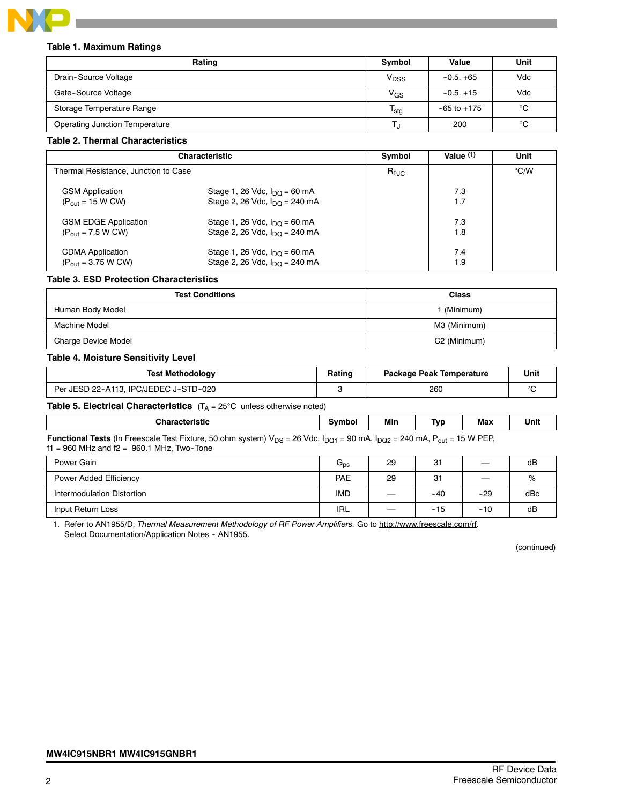

#### **Table 1. Maximum Ratings**

| Rating                                | Symbol                    | Value           | Unit |
|---------------------------------------|---------------------------|-----------------|------|
| Drain-Source Voltage                  | V <sub>DSS</sub>          | $-0.5. +65$     | Vdc  |
| Gate-Source Voltage                   | $V_{GS}$                  | $-0.5. +15$     | Vdc  |
| Storage Temperature Range             | $\mathsf{T_{\text{stg}}}$ | $-65$ to $+175$ | °C   |
| <b>Operating Junction Temperature</b> | L,                        | 200             | °C   |

#### **Table 2. Thermal Characteristics**

|                                                                        | <b>Characteristic</b>                                                                         | Symbol                 | Value $(1)$ | Unit          |
|------------------------------------------------------------------------|-----------------------------------------------------------------------------------------------|------------------------|-------------|---------------|
| Thermal Resistance, Junction to Case                                   |                                                                                               | $R_{\theta \text{JC}}$ |             | $\degree$ C/W |
| <b>GSM Application</b><br>$(P_{\text{out}} = 15 \text{ W} \text{ CW})$ | Stage 1, 26 Vdc, $I_{\text{DO}}$ = 60 mA<br>Stage 2, 26 Vdc, $I_{\text{DO}} = 240 \text{ mA}$ |                        | 7.3<br>1.7  |               |
| <b>GSM EDGE Application</b><br>$(P_{out} = 7.5 W CW)$                  | Stage 1, 26 Vdc, $I_{\text{DO}}$ = 60 mA<br>Stage 2, 26 Vdc, $I_{\text{DO}} = 240 \text{ mA}$ |                        | 7.3<br>1.8  |               |
| <b>CDMA Application</b><br>$(P_{out} = 3.75 W CW)$                     | Stage 1, 26 Vdc, $I_{\text{DO}}$ = 60 mA<br>Stage 2, 26 Vdc, $I_{\text{DO}} = 240 \text{ mA}$ |                        | 7.4<br>1.9  |               |

#### **Table 3. ESD Protection Characteristics**

| <b>Test Conditions</b>     | <b>Class</b>             |
|----------------------------|--------------------------|
| Human Body Model           | (Minimum)                |
| Machine Model              | M3 (Minimum)             |
| <b>Charge Device Model</b> | C <sub>2</sub> (Minimum) |

#### **Table 4. Moisture Sensitivity Level**

| <b>Test Methodology</b>               | Rating | <b>Package Peak Temperature</b> | Unit |
|---------------------------------------|--------|---------------------------------|------|
| Per JESD 22-A113, IPC/JEDEC J-STD-020 |        | 260                             |      |

# **Table 5. Electrical Characteristics** (T<sub>A</sub> = 25°C unless otherwise noted)

| <b>Characteristic</b>                                                                                                                                        | svmbol | Mir. | T٧ι              | Max              | Unit |
|--------------------------------------------------------------------------------------------------------------------------------------------------------------|--------|------|------------------|------------------|------|
| <b>Eunotional Tests</b> (in Freescale Test Fixture, 50 ohm system) $V_{\text{DC}} = 26$ $V_{\text{AC}}$ $I_{\text{DC}} = 90$ mÅ $I_{\text{DC}} = 240$ mÅ $P$ |        |      | $\cdot$ $ \cdot$ | <b>DED</b><br>M' |      |

**Functional Tests** (In Freescale Test Fixture, 50 ohm system) V<sub>DS</sub> = 26 Vdc, I<sub>DQ1</sub> = 90 mA, I<sub>DQ2</sub> = 240 mA, P<sub>out</sub> = 15 W PEP,  $f1 = 960$  MHz and  $f2 = 960.1$  MHz, Two-Tone

| Power Gain                 | $G_{\text{ps}}$ | 29 | 31    |                          | dB  |
|----------------------------|-----------------|----|-------|--------------------------|-----|
| Power Added Efficiency     | PAE             | 29 | 31    | $\overline{\phantom{0}}$ | %   |
| Intermodulation Distortion | <b>IMD</b>      |    | -40   | $-29$                    | dBc |
| Input Return Loss          | IRL             |    | $-15$ | $-10$                    | dB  |

1. Refer to AN1955/D, Thermal Measurement Methodology of RF Power Amplifiers. Go to http://www.freescale.com/rf. Select Documentation/Application Notes - AN1955.

(continued)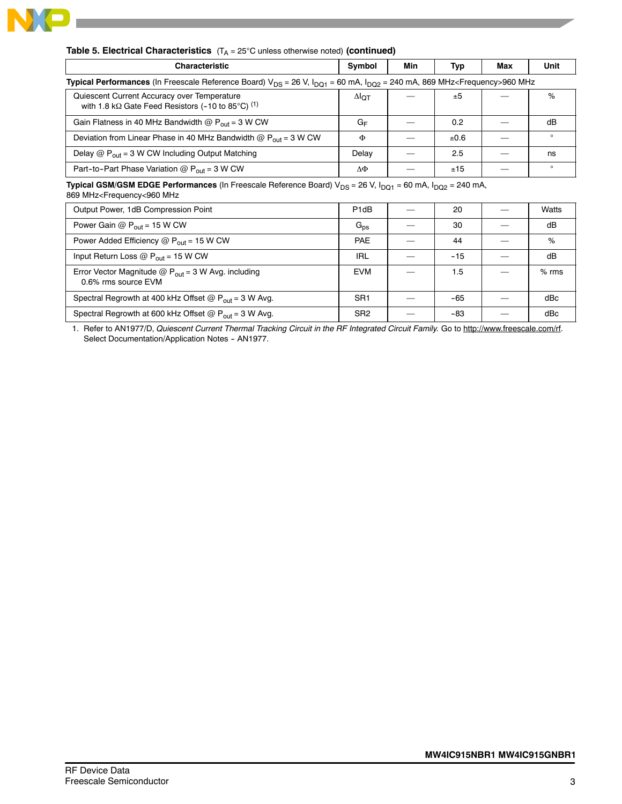

| <b>Table 5. Electrical Characteristics</b> $(T_A = 25^{\circ}C \text{ unless otherwise noted})$ (continued) |  |  |
|-------------------------------------------------------------------------------------------------------------|--|--|
|-------------------------------------------------------------------------------------------------------------|--|--|

| <b>Characteristic</b>                                                                                                                                      | Symbol | Min | Typ  | Max | Unit    |  |  |
|------------------------------------------------------------------------------------------------------------------------------------------------------------|--------|-----|------|-----|---------|--|--|
| <b>Typical Performances</b> (In Freescale Reference Board) $V_{DS} = 26 V$ , $I_{DQ1} = 60$ mA, $I_{DQ2} = 240$ mA, 869 MHz <frequency>960 MHz</frequency> |        |     |      |     |         |  |  |
| Quiescent Current Accuracy over Temperature<br>with 1.8 k $\Omega$ Gate Feed Resistors (-10 to 85°C) <sup>(1)</sup>                                        | ΔІот   |     | ±5   |     | %       |  |  |
| Gain Flatness in 40 MHz Bandwidth @ $P_{out}$ = 3 W CW                                                                                                     | G⊧     |     | 0.2  |     | dB      |  |  |
| Deviation from Linear Phase in 40 MHz Bandwidth $\omega P_{\text{out}} = 3$ W CW                                                                           | Φ      |     | ±0.6 |     | $\circ$ |  |  |
| Delay $@P_{out} = 3$ W CW Including Output Matching                                                                                                        | Delay  |     | 2.5  |     | ns      |  |  |
| Part-to-Part Phase Variation @ $P_{out}$ = 3 W CW                                                                                                          | ΔΦ     |     | ±15  |     | $\circ$ |  |  |

**Typical GSM/GSM EDGE Performances** (In Freescale Reference Board) V<sub>DS</sub> = 26 V, I<sub>DQ1</sub> = 60 mA, I<sub>DQ2</sub> = 240 mA,

869 MHz<Frequency<960 MHz

| Output Power, 1dB Compression Point                                           | P <sub>1</sub> d <sub>B</sub> | 20    | Watts   |
|-------------------------------------------------------------------------------|-------------------------------|-------|---------|
| Power Gain @ $P_{out}$ = 15 W CW                                              | $G_{\text{ps}}$               | 30    | dB      |
| Power Added Efficiency $@P_{out} = 15$ W CW                                   | <b>PAE</b>                    | 44    | %       |
| Input Return Loss @ $P_{out}$ = 15 W CW                                       | IRL                           | $-15$ | dB      |
| Error Vector Magnitude $@P_{out} = 3 W$ Avg. including<br>0.6% rms source EVM | <b>EVM</b>                    | 1.5   | $%$ rms |
| Spectral Regrowth at 400 kHz Offset $@P_{out} = 3$ W Avg.                     | SR <sub>1</sub>               | $-65$ | dBc     |
| Spectral Regrowth at 600 kHz Offset @ $P_{out}$ = 3 W Avg.                    | SR <sub>2</sub>               | -83   | dBc     |

1. Refer to AN1977/D, Quiescent Current Thermal Tracking Circuit in the RF Integrated Circuit Family. Go to http://www.freescale.com/rf. Select Documentation/Application Notes - AN1977.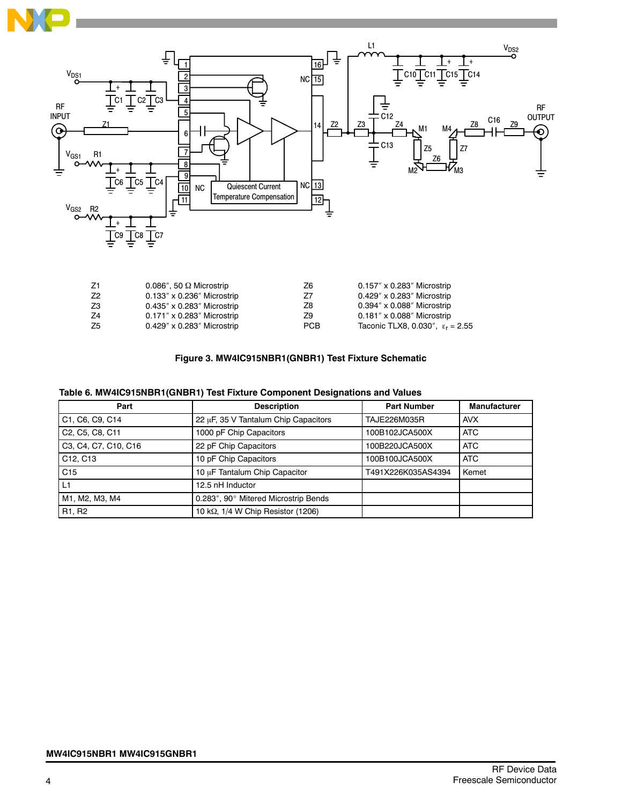

| Z1             | 0.086", 50 $\Omega$ Microstrip      | Z6         | $0.157'' \times 0.283''$ Microstrip       |
|----------------|-------------------------------------|------------|-------------------------------------------|
| Z <sub>2</sub> | $0.133'' \times 0.236''$ Microstrip | Z7         | $0.429'' \times 0.283''$ Microstrip       |
| Z3             | $0.435'' \times 0.283''$ Microstrip | Z8         | $0.394'' \times 0.088''$ Microstrip       |
| -74            | $0.171''$ x 0.283" Microstrip       | Z9         | $0.181'' \times 0.088''$ Microstrip       |
| Z <sub>5</sub> | $0.429'' \times 0.283''$ Microstrip | <b>PCB</b> | Taconic TLX8, 0.030", $\epsilon_r = 2.55$ |
|                |                                     |            |                                           |

# **Figure 3. MW4IC915NBR1(GNBR1) Test Fixture Schematic**

| Part                              | <b>Description</b>                         | <b>Part Number</b> | <b>Manufacturer</b> |
|-----------------------------------|--------------------------------------------|--------------------|---------------------|
| C1, C6, C9, C14                   | 22 µF, 35 V Tantalum Chip Capacitors       | TAJE226M035R       | <b>AVX</b>          |
| C2, C5, C8, C11                   | 1000 pF Chip Capacitors                    | 100B102JCA500X     | <b>ATC</b>          |
| C3, C4, C7, C10, C16              | 22 pF Chip Capacitors                      | 100B220JCA500X     | <b>ATC</b>          |
| C <sub>12</sub> , C <sub>13</sub> | 10 pF Chip Capacitors                      | 100B100JCA500X     | <b>ATC</b>          |
| C15                               | 10 µF Tantalum Chip Capacitor              | T491X226K035AS4394 | Kemet               |
| L1                                | 12.5 nH Inductor                           |                    |                     |
| M1, M2, M3, M4                    | 0.283", 90° Mitered Microstrip Bends       |                    |                     |
| R <sub>1</sub> , R <sub>2</sub>   | 10 k $\Omega$ , 1/4 W Chip Resistor (1206) |                    |                     |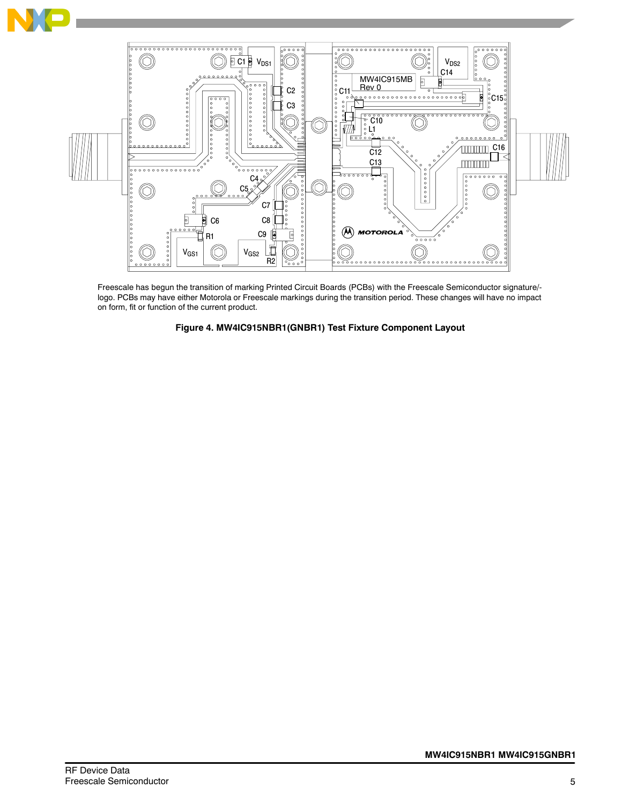



Freescale has begun the transition of marking Printed Circuit Boards (PCBs) with the Freescale Semiconductor signature/ logo. PCBs may have either Motorola or Freescale markings during the transition period. These changes will have no impact on form, fit or function of the current product.

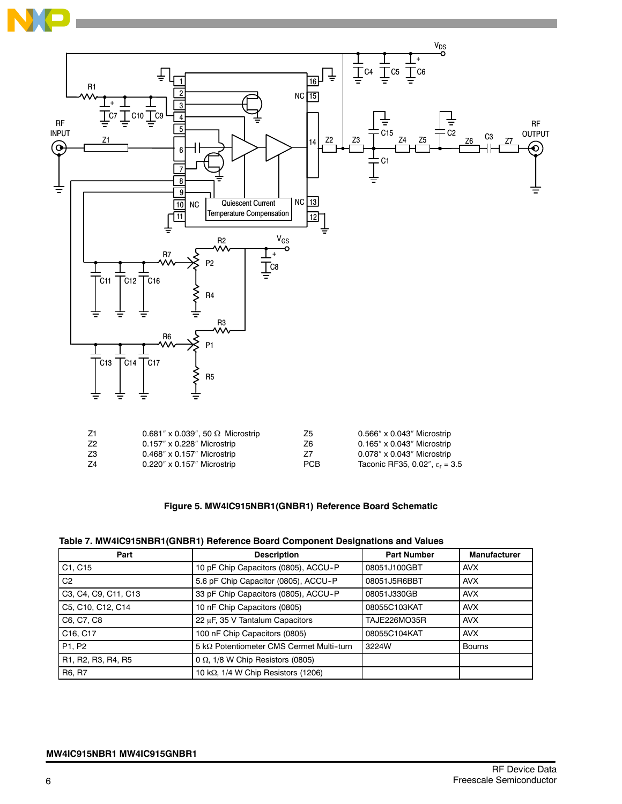



| Z1 | $0.681'' \times 0.039''$ , 50 $\Omega$ Microstrip | Z5         | $0.566''$ x $0.043''$ Microstrip        |
|----|---------------------------------------------------|------------|-----------------------------------------|
| Z2 | $0.157'' \times 0.228''$ Microstrip               | Z6         | $0.165'' \times 0.043''$ Microstrip     |
| Z3 | $0.468'' \times 0.157''$ Microstrip               | 77         | $0.078'' \times 0.043''$ Microstrip     |
| Z4 | $0.220'' \times 0.157''$ Microstrip               | <b>PCB</b> | Taconic RF35, 0.02", $\epsilon_r = 3.5$ |
|    |                                                   |            |                                         |

# **Figure 5. MW4IC915NBR1(GNBR1) Reference Board Schematic**

|  |  | Table 7. MW4IC915NBR1(GNBR1) Reference Board Component Designations and Values |
|--|--|--------------------------------------------------------------------------------|
|  |  |                                                                                |

| Part                              | <b>Description</b>                          | <b>Part Number</b> | <b>Manufacturer</b> |
|-----------------------------------|---------------------------------------------|--------------------|---------------------|
| C1, C15                           | 10 pF Chip Capacitors (0805), ACCU-P        | 08051J100GBT       | <b>AVX</b>          |
| C <sub>2</sub>                    | 5.6 pF Chip Capacitor (0805), ACCU-P        | 08051J5R6BBT       | <b>AVX</b>          |
| C3, C4, C9, C11, C13              | 33 pF Chip Capacitors (0805), ACCU-P        | 08051J330GB        | <b>AVX</b>          |
| C5, C10, C12, C14                 | 10 nF Chip Capacitors (0805)                | 08055C103KAT       | <b>AVX</b>          |
| C6, C7, C8                        | 22 µF, 35 V Tantalum Capacitors             | TAJE226MO35R       | <b>AVX</b>          |
| C <sub>16</sub> , C <sub>17</sub> | 100 nF Chip Capacitors (0805)               | 08055C104KAT       | <b>AVX</b>          |
| P <sub>1</sub> , P <sub>2</sub>   | 5 kΩ Potentiometer CMS Cermet Multi-turn    | 3224W              | <b>Bourns</b>       |
| R1, R2, R3, R4, R5                | $0 \Omega$ , 1/8 W Chip Resistors (0805)    |                    |                     |
| R6, R7                            | 10 k $\Omega$ , 1/4 W Chip Resistors (1206) |                    |                     |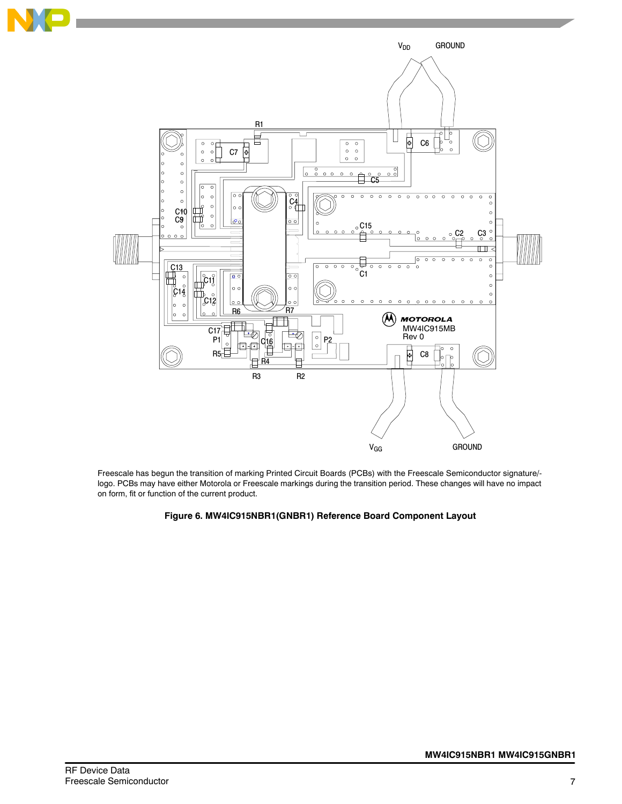

Freescale has begun the transition of marking Printed Circuit Boards (PCBs) with the Freescale Semiconductor signature/ logo. PCBs may have either Motorola or Freescale markings during the transition period. These changes will have no impact on form, fit or function of the current product.

# **Figure 6. MW4IC915NBR1(GNBR1) Reference Board Component Layout**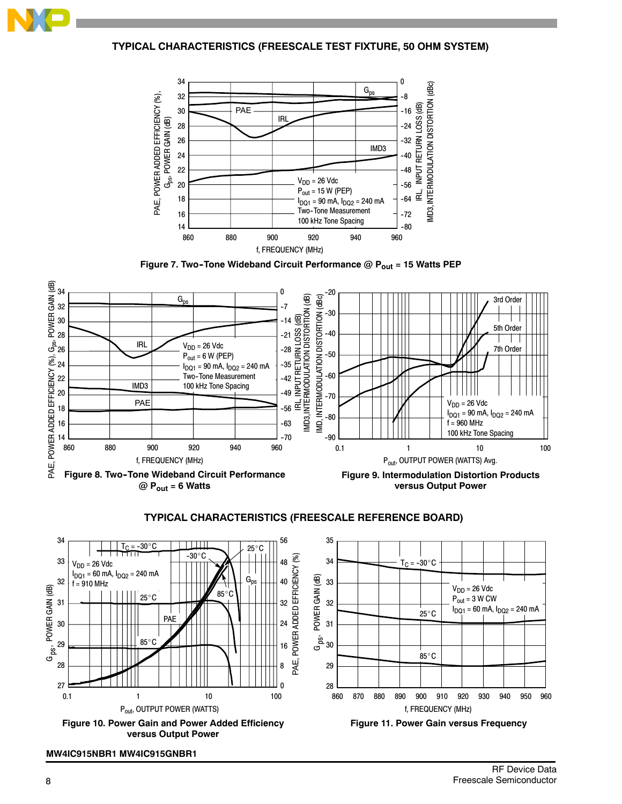

**TYPICAL CHARACTERISTICS (FREESCALE TEST FIXTURE, 50 OHM SYSTEM)**







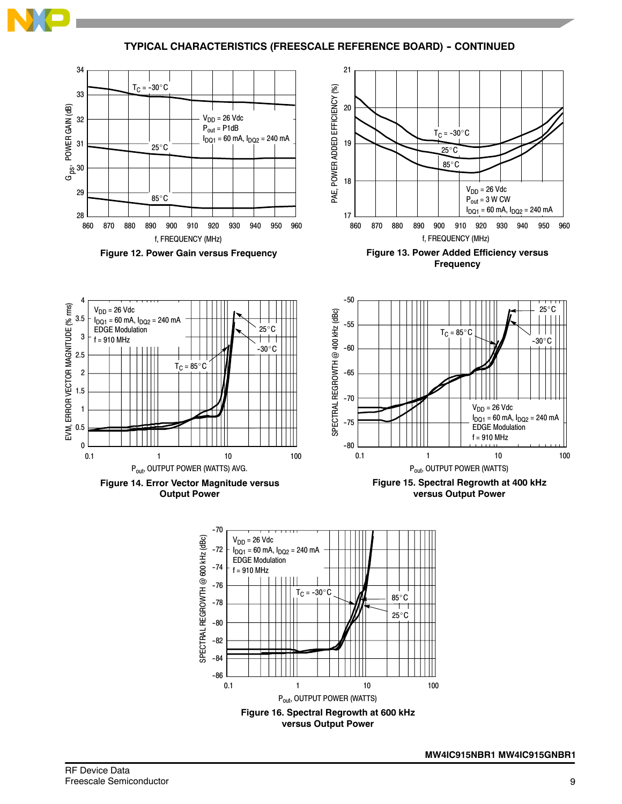

**TYPICAL CHARACTERISTICS (FREESCALE REFERENCE BOARD) - CONTINUED** 

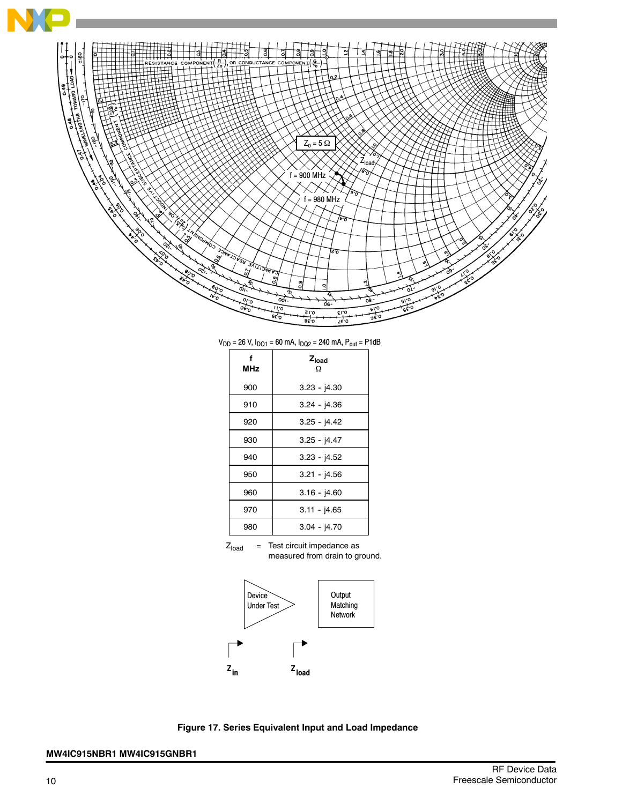

 $V_{DD}$  = 26 V,  $I_{DQ1}$  = 60 mA,  $I_{DQ2}$  = 240 mA,  $P_{out}$  = P1dB

| <b>MHz</b> | Z <sub>load</sub><br>Ω |
|------------|------------------------|
| 900        | $3.23 - 14.30$         |
| 910        | $3.24 - 14.36$         |
| 920        | $3.25 - j4.42$         |
| 930        | $3.25 - 14.47$         |
| 940        | $3.23 - j4.52$         |
| 950        | $3.21 - 14.56$         |
| 960        | $3.16 - 14.60$         |
| 970        | $3.11 - 14.65$         |
| 980        | $3.04 - j4.70$         |





**Figure 17. Series Equivalent Input and Load Impedance**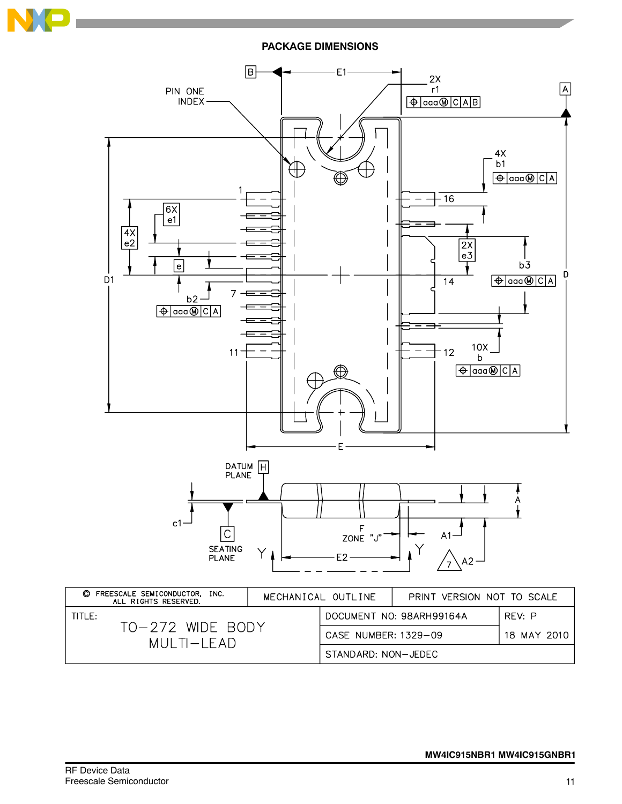

**PACKAGE DIMENSIONS**

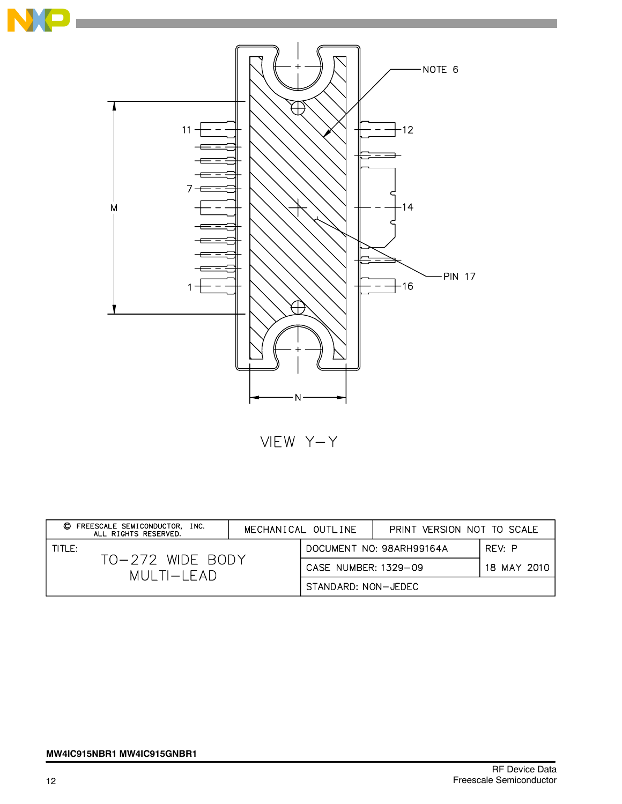

VIEW Y-Y

| FREESCALE SEMICONDUCTOR. INC.<br>O<br>ALL RIGHTS RESERVED. | MECHANICAL OUTLINE |                                    | PRINT VERSION NOT TO SCALE |             |
|------------------------------------------------------------|--------------------|------------------------------------|----------------------------|-------------|
| TITLE:<br>TO-272 WIDE BODY<br>$MUI$ TI $-I$ FAD            |                    | DOCUMENT NO: 98ARH99164A<br>REV: P |                            |             |
|                                                            |                    | CASE NUMBER: 1329-09               |                            | 18 MAY 2010 |
|                                                            |                    | STANDARD: NON-JEDEC                |                            |             |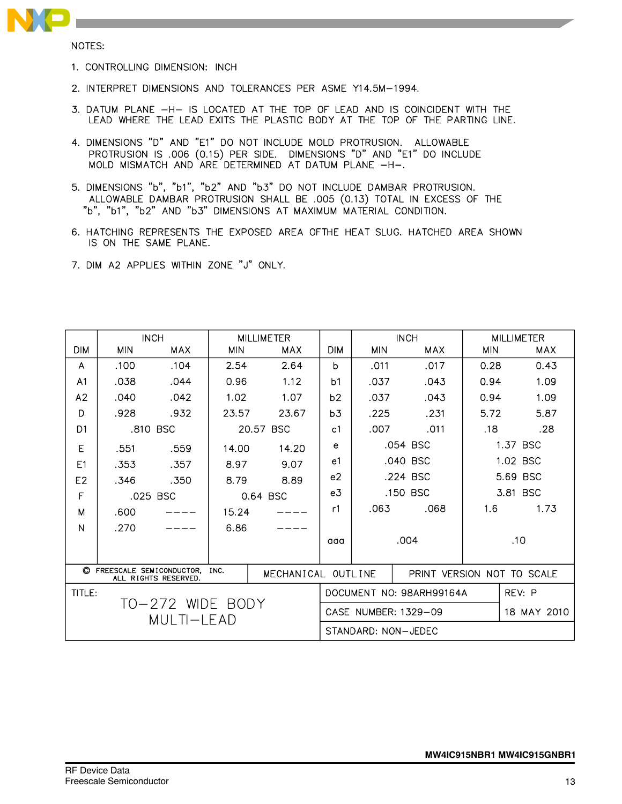

NOTES:

- 1. CONTROLLING DIMENSION: INCH
- 2. INTERPRET DIMENSIONS AND TOLERANCES PER ASME Y14.5M-1994.
- 3. DATUM PLANE -H- IS LOCATED AT THE TOP OF LEAD AND IS COINCIDENT WITH THE LEAD WHERE THE LEAD EXITS THE PLASTIC BODY AT THE TOP OF THE PARTING LINE.
- 4. DIMENSIONS "D" AND "E1" DO NOT INCLUDE MOLD PROTRUSION. ALLOWABLE PROTRUSION IS .006 (0.15) PER SIDE. DIMENSIONS "D" AND "E1" DO INCLUDE MOLD MISMATCH AND ARE DETERMINED AT DATUM PLANE -H-.
- 5. DIMENSIONS "b", "b1", "b2" AND "b3" DO NOT INCLUDE DAMBAR PROTRUSION. ALLOWABLE DAMBAR PROTRUSION SHALL BE .005 (0.13) TOTAL IN EXCESS OF THE "b", "b1", "b2" AND "b3" DIMENSIONS AT MAXIMUM MATERIAL CONDITION.
- 6. HATCHING REPRESENTS THE EXPOSED AREA OFTHE HEAT SLUG. HATCHED AREA SHOWN IS ON THE SAME PLANE.
- 7. DIM A2 APPLIES WITHIN ZONE "J" ONLY.

|                                                                                  |            | <b>INCH</b> | <b>MILLIMETER</b> |                      |                | <b>INCH</b> |                          | <b>MILLIMETER</b>          |            |  |
|----------------------------------------------------------------------------------|------------|-------------|-------------------|----------------------|----------------|-------------|--------------------------|----------------------------|------------|--|
| <b>DIM</b>                                                                       | <b>MIN</b> | <b>MAX</b>  | <b>MIN</b>        | MAX                  | <b>DIM</b>     | <b>MIN</b>  | MAX                      | <b>MIN</b>                 | <b>MAX</b> |  |
| A                                                                                | .100       | .104        | 2.54              | 2.64                 | b              | .011        | .017                     | 0.28                       | 0.43       |  |
| A <sub>1</sub>                                                                   | .038       | .044        | 0.96              | 1.12                 | b <sub>1</sub> | .037        | .043                     | 0.94                       | 1.09       |  |
| A2                                                                               | .040       | .042        | 1.02              | 1.07                 | b2             | .037        | .043                     | 0.94                       | 1.09       |  |
| D                                                                                | .928       | .932        | 23.57             | 23.67                | b <sub>3</sub> | .225        | .231                     | 5.72                       | 5.87       |  |
| D <sub>1</sub>                                                                   |            | .810 BSC    |                   | 20.57 BSC            | c <sub>1</sub> | .007        | .011                     | .18                        | .28        |  |
| E                                                                                | .551       | .559        | 14.00             | 14.20                | e              |             | .054 BSC                 |                            | 1.37 BSC   |  |
| E1                                                                               | .353       | .357        | 8.97              | 9.07                 | e1             |             | .040 BSC                 |                            | 1.02 BSC   |  |
| E2                                                                               | .346       | .350        | 8.79              | 8.89                 | e <sub>2</sub> |             | .224 BSC                 |                            | 5.69 BSC   |  |
| F                                                                                |            | .025 BSC    |                   | 0.64 BSC             | e <sub>3</sub> | .150 BSC    |                          |                            | 3.81 BSC   |  |
| M                                                                                | .600       |             | 15.24             |                      | r1             | .063        | .068                     | 1.6                        | 1.73       |  |
| N                                                                                | .270       |             | 6.86              |                      |                |             |                          |                            |            |  |
|                                                                                  |            |             |                   |                      | aaa            |             | .004                     |                            | .10        |  |
|                                                                                  |            |             |                   |                      |                |             |                          |                            |            |  |
| C FREESCALE SEMICONDUCTOR,<br>INC.<br>MECHANICAL OUTLINE<br>ALL RIGHTS RESERVED. |            |             |                   |                      |                |             |                          | PRINT VERSION NOT TO SCALE |            |  |
| TITLE:                                                                           |            |             |                   |                      |                |             | DOCUMENT NO: 98ARH99164A |                            | REV: P     |  |
| TO-272 WIDE BODY                                                                 |            |             |                   | CASE NUMBER: 1329-09 |                |             | 18 MAY 2010              |                            |            |  |
| MULTI-LEAD                                                                       |            |             |                   |                      |                |             | STANDARD: NON-JEDEC      |                            |            |  |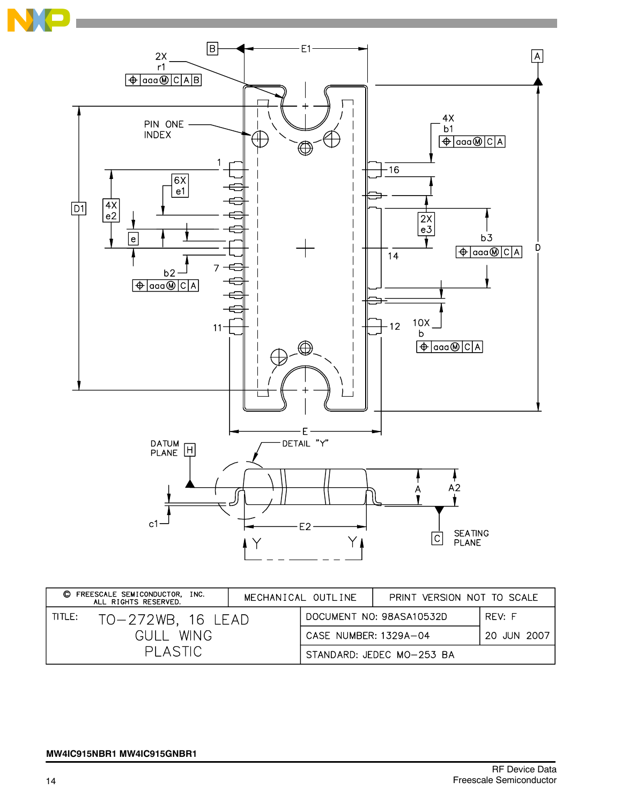

| FREESCALE SEMICONDUCTOR, INC.<br>O<br>MECHANICAL OUTLINE<br>ALL RIGHTS RESERVED. |                       |                          | PRINT VERSION NOT TO SCALE |  |
|----------------------------------------------------------------------------------|-----------------------|--------------------------|----------------------------|--|
| TITLE:                                                                           |                       | RFV: F                   |                            |  |
| TO-272WB, 16 LEAD                                                                |                       | DOCUMENT NO: 98ASA10532D |                            |  |
| <b>WING</b>                                                                      | 20 JUN 2007           |                          |                            |  |
| <b>GULL</b>                                                                      | CASE NUMBER: 1329A-04 |                          |                            |  |
| PLASTIC                                                                          |                       |                          | STANDARD: JEDEC MO-253 BA  |  |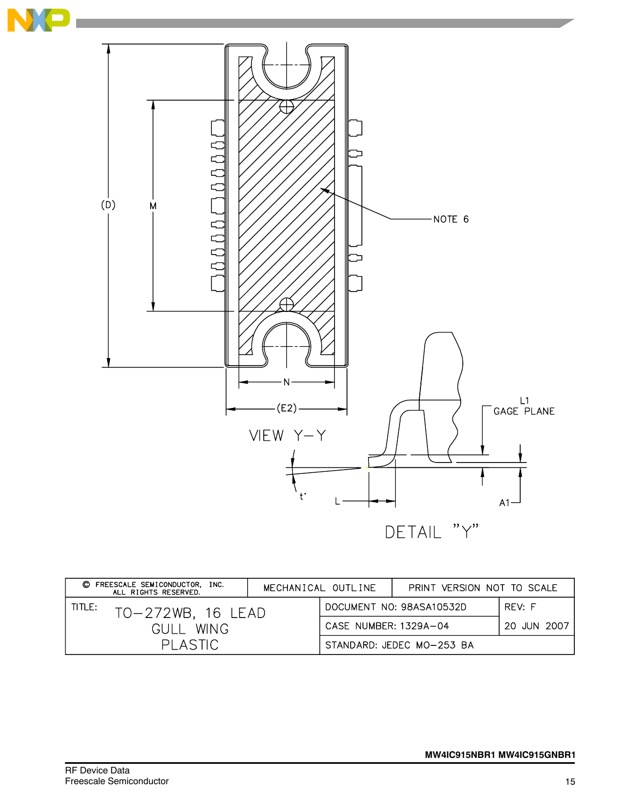

| C FREESCALE SEMICONDUCTOR, INC.<br>MECHANICAL OUTLINE<br>ALL RIGHTS RESERVED. |                   |                                      |                                    | PRINT VERSION NOT TO SCALE |  |
|-------------------------------------------------------------------------------|-------------------|--------------------------------------|------------------------------------|----------------------------|--|
| TITLE:                                                                        | TO-272WB, 16 LEAD |                                      | RFV: F<br>DOCUMENT NO: 98ASA10532D |                            |  |
| WING.<br>GULL.<br>PI ASTIC                                                    |                   | CASE NUMBER: 1329A-04<br>20 JUN 2007 |                                    |                            |  |
|                                                                               |                   |                                      | STANDARD: JEDEC MO-253 BA          |                            |  |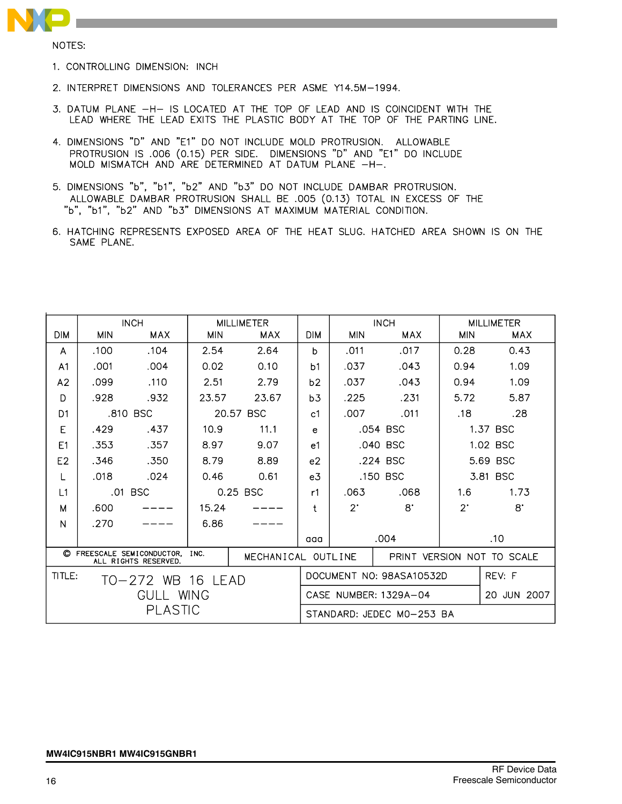

NOTES:

- 1. CONTROLLING DIMENSION: INCH
- 2. INTERPRET DIMENSIONS AND TOLERANCES PER ASME Y14.5M-1994.
- 3. DATUM PLANE -H- IS LOCATED AT THE TOP OF LEAD AND IS COINCIDENT WITH THE LEAD WHERE THE LEAD EXITS THE PLASTIC BODY AT THE TOP OF THE PARTING LINE.
- 4. DIMENSIONS "D" AND "E1" DO NOT INCLUDE MOLD PROTRUSION. ALLOWABLE PROTRUSION IS .006 (0.15) PER SIDE. DIMENSIONS "D" AND "E1" DO INCLUDE MOLD MISMATCH AND ARE DETERMINED AT DATUM PLANE -H-.
- 5. DIMENSIONS "b", "b1", "b2" AND "b3" DO NOT INCLUDE DAMBAR PROTRUSION. ALLOWABLE DAMBAR PROTRUSION SHALL BE .005 (0.13) TOTAL IN EXCESS OF THE "b", "b1", "b2" AND "b3" DIMENSIONS AT MAXIMUM MATERIAL CONDITION.
- 6. HATCHING REPRESENTS EXPOSED AREA OF THE HEAT SLUG. HATCHED AREA SHOWN IS ON THE SAME PLANE.

|                                                                                  |                             | <b>INCH</b> | <b>MILLIMETER</b> |           |                | <b>INCH</b>                |                | <b>MILLIMETER</b> |             |  |
|----------------------------------------------------------------------------------|-----------------------------|-------------|-------------------|-----------|----------------|----------------------------|----------------|-------------------|-------------|--|
| <b>DIM</b>                                                                       | <b>MIN</b>                  | MAX         | <b>MIN</b>        | MAX       | <b>DIM</b>     | <b>MIN</b>                 | MAX            | <b>MIN</b>        | MAX         |  |
| A                                                                                | .100                        | .104        | 2.54              | 2.64      | Ь              | .011                       | .017           | 0.28              | 0.43        |  |
| A <sub>1</sub>                                                                   | .001                        | .004        | 0.02              | 0.10      | b <sub>1</sub> | .037                       | .043           | 0.94              | 1.09        |  |
| A2                                                                               | .099                        | .110        | 2.51              | 2.79      | b2             | .037                       | .043           | 0.94              | 1.09        |  |
| D                                                                                | .928                        | .932        | 23.57             | 23.67     | b3             | .225                       | .231           | 5.72              | 5.87        |  |
| D <sub>1</sub>                                                                   |                             | .810 BSC    |                   | 20.57 BSC | c <sub>1</sub> | .007                       | .011           | .18               | .28         |  |
| E                                                                                | .429                        | .437        | 10.9              | 11.1      | e              |                            | .054 BSC       |                   | 1.37 BSC    |  |
| F <sub>1</sub>                                                                   | .353                        | .357        | 8.97              | 9.07      | e <sub>1</sub> |                            | .040 BSC       |                   | 1.02 BSC    |  |
| E <sub>2</sub>                                                                   | .346                        | .350        | 8.79              | 8.89      | e <sub>2</sub> |                            | .224 BSC       | 5.69 BSC          |             |  |
| L                                                                                | .018                        | .024        | 0.46              | 0.61      | e <sub>3</sub> |                            | .150 BSC       |                   | 3.81 BSC    |  |
| L1                                                                               |                             | .01 BSC     |                   | 0.25 BSC  | r1             | .063                       | .068           | 1.6               | 1.73        |  |
| M                                                                                | .600                        |             | 15.24             |           | ŧ              | $2^{\circ}$                | $\mathsf{R}^*$ | $2^{\cdot}$       | $8^{\circ}$ |  |
| N                                                                                | .270                        |             | 6.86              |           |                |                            |                |                   |             |  |
|                                                                                  |                             |             |                   |           | aaa            |                            | .004           |                   | .10         |  |
| C FREESCALE SEMICONDUCTOR,<br>INC.<br>MECHANICAL OUTLINE<br>ALL RIGHTS RESERVED. |                             |             |                   |           |                | PRINT VERSION NOT TO SCALE |                |                   |             |  |
|                                                                                  | TITLE:<br>TO-272 WB 16 LEAD |             |                   |           |                | DOCUMENT NO: 98ASA10532D   |                | REV: F            |             |  |
| GULL WING                                                                        |                             |             |                   |           |                | CASE NUMBER: 1329A-04      |                | 20 JUN 2007       |             |  |
| PLASTIC                                                                          |                             |             |                   |           |                | STANDARD: JEDEC MO-253 BA  |                |                   |             |  |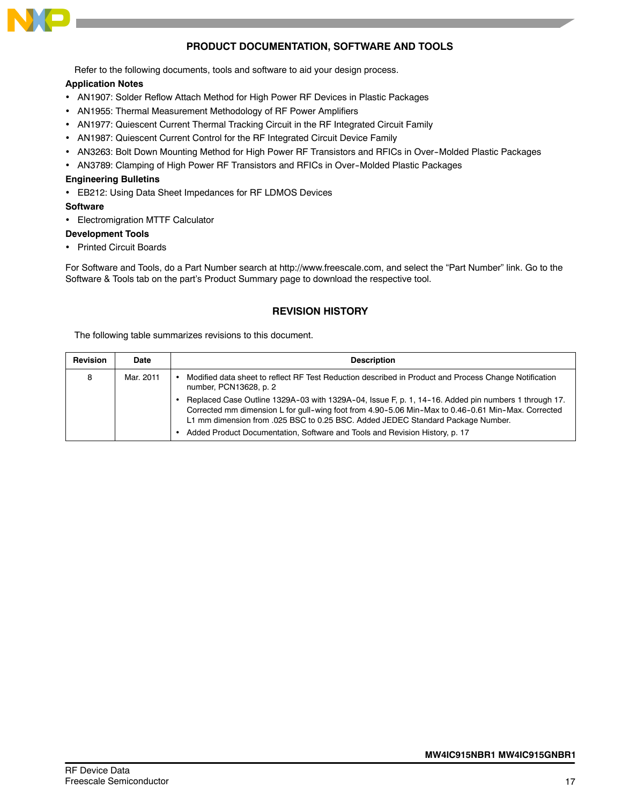

# **PRODUCT DOCUMENTATION, SOFTWARE AND TOOLS**

Refer to the following documents, tools and software to aid your design process.

#### **Application Notes**

- AN1907: Solder Reflow Attach Method for High Power RF Devices in Plastic Packages
- AN1955: Thermal Measurement Methodology of RF Power Amplifiers
- AN1977: Quiescent Current Thermal Tracking Circuit in the RF Integrated Circuit Family
- AN1987: Quiescent Current Control for the RF Integrated Circuit Device Family
- AN3263: Bolt Down Mounting Method for High Power RF Transistors and RFICs in Over--Molded Plastic Packages
- AN3789: Clamping of High Power RF Transistors and RFICs in Over-Molded Plastic Packages

#### **Engineering Bulletins**

• EB212: Using Data Sheet Impedances for RF LDMOS Devices

#### **Software**

• Electromigration MTTF Calculator

#### **Development Tools**

• Printed Circuit Boards

For Software and Tools, do a Part Number search at http://www.freescale.com, and select the "Part Number" link. Go to the Software & Tools tab on the part's Product Summary page to download the respective tool.

#### **REVISION HISTORY**

The following table summarizes revisions to this document.

| <b>Revision</b> | Date      | <b>Description</b>                                                                                                                                                                                                                                                                                                                                                          |
|-----------------|-----------|-----------------------------------------------------------------------------------------------------------------------------------------------------------------------------------------------------------------------------------------------------------------------------------------------------------------------------------------------------------------------------|
| 8               | Mar. 2011 | Modified data sheet to reflect RF Test Reduction described in Product and Process Change Notification<br>number, PCN13628, p. 2                                                                                                                                                                                                                                             |
|                 |           | Replaced Case Outline 1329A-03 with 1329A-04, Issue F, p. 1, 14-16. Added pin numbers 1 through 17.<br>Corrected mm dimension L for gull-wing foot from 4.90-5.06 Min-Max to 0.46-0.61 Min-Max. Corrected<br>L1 mm dimension from .025 BSC to 0.25 BSC. Added JEDEC Standard Package Number.<br>Added Product Documentation, Software and Tools and Revision History, p. 17 |